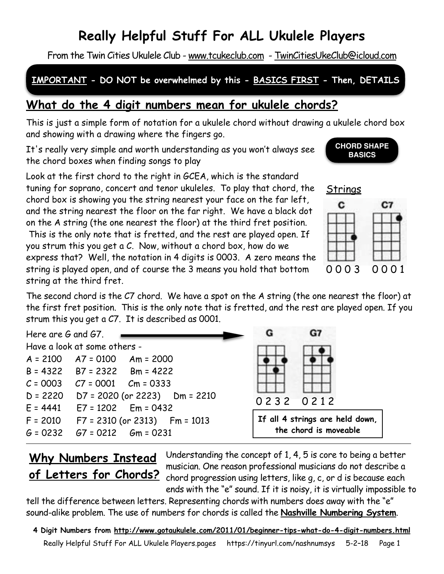# **Really Helpful Stuff For ALL Ukulele Players**

From the Twin Cities Ukulele Club - [www.tcukeclub.com](http://www.tcukeclub.com) - [TwinCitiesUkeClub@icloud.com](mailto:twincitiesukeclub@icloud.com)

### **IMPORTANT - DO NOT be overwhelmed by this - BASICS FIRST - Then, DETAILS**

## **What do the 4 digit numbers mean for ukulele chords?**

This is just a simple form of notation for a ukulele chord without drawing a ukulele chord box and showing with a drawing where the fingers go.

It's really very simple and worth understanding as you won't always see the chord boxes when finding songs to play

Look at the first chord to the right in GCEA, which is the standard tuning for soprano, concert and tenor ukuleles. To play that chord, the chord box is showing you the string nearest your face on the far left, and the string nearest the floor on the far right. We have a black dot on the A string (the one nearest the floor) at the third fret position.

This is the only note that is fretted, and the rest are played open. If you strum this you get a C. Now, without a chord box, how do we express that? Well, the notation in 4 digits is 0003. A zero means the string is played open, and of course the 3 means you hold that bottom string at the third fret.

The second chord is the C7 chord. We have a spot on the A string (the one nearest the floor) at the first fret position. This is the only note that is fretted, and the rest are played open. If you strum this you get a C7. It is described as 0001.

G7 Here are G and G7. G Have a look at some others - A = 2100 A7 = 0100 Am = 2000 B = 4322 B7 = 2322 Bm = 4222  $C = 0003$   $C7 = 0001$   $Cm = 0333$ D = 2220 D7 = 2020 (or 2223) Dm = 2210 0 2 3 2 0 2 1 2  $E = 4441$   $E7 = 1202$   $Em = 0432$ **If all 4 strings are held down,**  F = 2010 F7 = 2310 (or 2313) Fm = 1013 **the chord is moveable**  $G = 0232$   $G7 = 0212$   $Gm = 0231$ 

## **Why Numbers Instead of Letters for Chords?**

Understanding the concept of 1, 4, 5 is core to being a better musician. One reason professional musicians do not describe a chord progression using letters, like g, c, or d is because each ends with the "e" sound. If it is noisy, it is virtually impossible to

tell the difference between letters. Representing chords with numbers does away with the "e" sound-alike problem. The use of numbers for chords is called the **Nashville Numbering System**.

**4 Digit Numbers from<http://www.gotaukulele.com/2011/01/beginner-tips-what-do-4-digit-numbers.html>** Really Helpful Stuff For ALL Ukulele Players.pages https://tinyurl.com/nashnumsys 5-2–18 Page 1